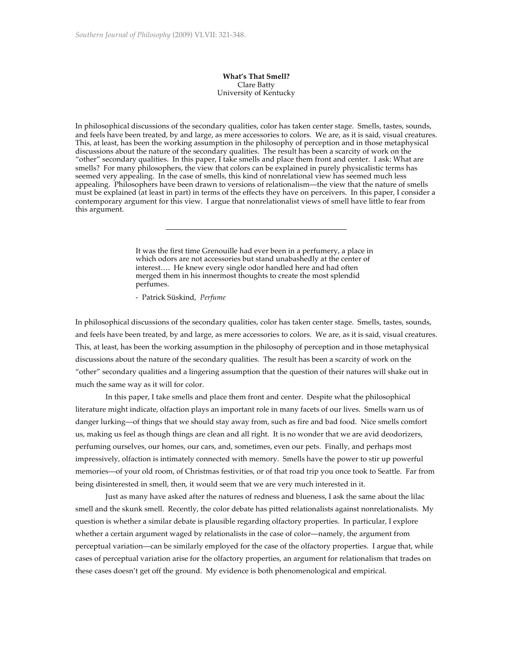#### **What's That Smell?** Clare Batty University of Kentucky

In philosophical discussions of the secondary qualities, color has taken center stage. Smells, tastes, sounds, and feels have been treated, by and large, as mere accessories to colors. We are, as it is said, visual creatures. This, at least, has been the working assumption in the philosophy of perception and in those metaphysical discussions about the nature of the secondary qualities. The result has been a scarcity of work on the "other" secondary qualities. In this paper, I take smells and place them front and center. I ask: What are smells? For many philosophers, the view that colors can be explained in purely physicalistic terms has seemed very appealing. In the case of smells, this kind of nonrelational view has seemed much less appealing. Philosophers have been drawn to versions of relationalism—the view that the nature of smells must be explained (at least in part) in terms of the effects they have on perceivers. In this paper, I consider a contemporary argument for this view. I argue that nonrelationalist views of smell have little to fear from this argument.

> It was the first time Grenouille had ever been in a perfumery, a place in which odors are not accessories but stand unabashedly at the center of interest…. He knew every single odor handled here and had often merged them in his innermost thoughts to create the most splendid perfumes.

- Patrick Süskind, *Perfume*

In philosophical discussions of the secondary qualities, color has taken center stage. Smells, tastes, sounds, and feels have been treated, by and large, as mere accessories to colors. We are, as it is said, visual creatures. This, at least, has been the working assumption in the philosophy of perception and in those metaphysical discussions about the nature of the secondary qualities. The result has been a scarcity of work on the "other" secondary qualities and a lingering assumption that the question of their natures will shake out in much the same way as it will for color.

In this paper, I take smells and place them front and center. Despite what the philosophical literature might indicate, olfaction plays an important role in many facets of our lives. Smells warn us of danger lurking—of things that we should stay away from, such as fire and bad food. Nice smells comfort us, making us feel as though things are clean and all right. It is no wonder that we are avid deodorizers, perfuming ourselves, our homes, our cars, and, sometimes, even our pets. Finally, and perhaps most impressively, olfaction is intimately connected with memory. Smells have the power to stir up powerful memories—of your old room, of Christmas festivities, or of that road trip you once took to Seattle. Far from being disinterested in smell, then, it would seem that we are very much interested in it.

Just as many have asked after the natures of redness and blueness, I ask the same about the lilac smell and the skunk smell. Recently, the color debate has pitted relationalists against nonrelationalists. My question is whether a similar debate is plausible regarding olfactory properties. In particular, I explore whether a certain argument waged by relationalists in the case of color—namely, the argument from perceptual variation—can be similarly employed for the case of the olfactory properties. I argue that, while cases of perceptual variation arise for the olfactory properties, an argument for relationalism that trades on these cases doesn't get off the ground. My evidence is both phenomenological and empirical.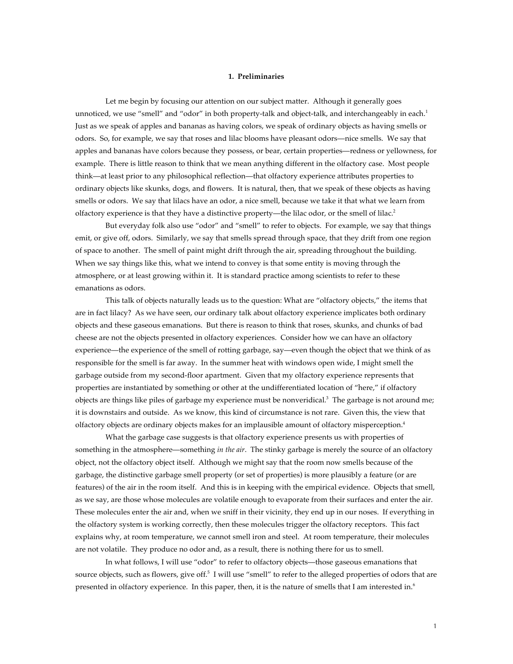# **1. Preliminaries**

Let me begin by focusing our attention on our subject matter. Although it generally goes unnoticed, we use "smell" and "odor" in both property-talk and object-talk, and interchangeably in each.<sup>1</sup> Just as we speak of apples and bananas as having colors, we speak of ordinary objects as having smells or odors. So, for example, we say that roses and lilac blooms have pleasant odors—nice smells. We say that apples and bananas have colors because they possess, or bear, certain properties—redness or yellowness, for example. There is little reason to think that we mean anything different in the olfactory case. Most people think—at least prior to any philosophical reflection—that olfactory experience attributes properties to ordinary objects like skunks, dogs, and flowers. It is natural, then, that we speak of these objects as having smells or odors. We say that lilacs have an odor, a nice smell, because we take it that what we learn from olfactory experience is that they have a distinctive property—the lilac odor, or the smell of lilac.<sup>2</sup>

But everyday folk also use "odor" and "smell" to refer to objects. For example, we say that things emit, or give off, odors. Similarly, we say that smells spread through space, that they drift from one region of space to another. The smell of paint might drift through the air, spreading throughout the building. When we say things like this, what we intend to convey is that some entity is moving through the atmosphere, or at least growing within it. It is standard practice among scientists to refer to these emanations as odors.

This talk of objects naturally leads us to the question: What are "olfactory objects," the items that are in fact lilacy? As we have seen, our ordinary talk about olfactory experience implicates both ordinary objects and these gaseous emanations. But there is reason to think that roses, skunks, and chunks of bad cheese are not the objects presented in olfactory experiences. Consider how we can have an olfactory experience—the experience of the smell of rotting garbage, say—even though the object that we think of as responsible for the smell is far away. In the summer heat with windows open wide, I might smell the garbage outside from my second-floor apartment. Given that my olfactory experience represents that properties are instantiated by something or other at the undifferentiated location of "here," if olfactory objects are things like piles of garbage my experience must be nonveridical.<sup>3</sup> The garbage is not around me; it is downstairs and outside. As we know, this kind of circumstance is not rare. Given this, the view that olfactory objects are ordinary objects makes for an implausible amount of olfactory misperception.<sup>4</sup>

What the garbage case suggests is that olfactory experience presents us with properties of something in the atmosphere—something *in the air*. The stinky garbage is merely the source of an olfactory object, not the olfactory object itself. Although we might say that the room now smells because of the garbage, the distinctive garbage smell property (or set of properties) is more plausibly a feature (or are features) of the air in the room itself. And this is in keeping with the empirical evidence. Objects that smell, as we say, are those whose molecules are volatile enough to evaporate from their surfaces and enter the air. These molecules enter the air and, when we sniff in their vicinity, they end up in our noses. If everything in the olfactory system is working correctly, then these molecules trigger the olfactory receptors. This fact explains why, at room temperature, we cannot smell iron and steel. At room temperature, their molecules are not volatile. They produce no odor and, as a result, there is nothing there for us to smell.

In what follows, I will use "odor" to refer to olfactory objects—those gaseous emanations that source objects, such as flowers, give off.<sup>5</sup> I will use "smell" to refer to the alleged properties of odors that are presented in olfactory experience. In this paper, then, it is the nature of smells that I am interested in.<sup>6</sup>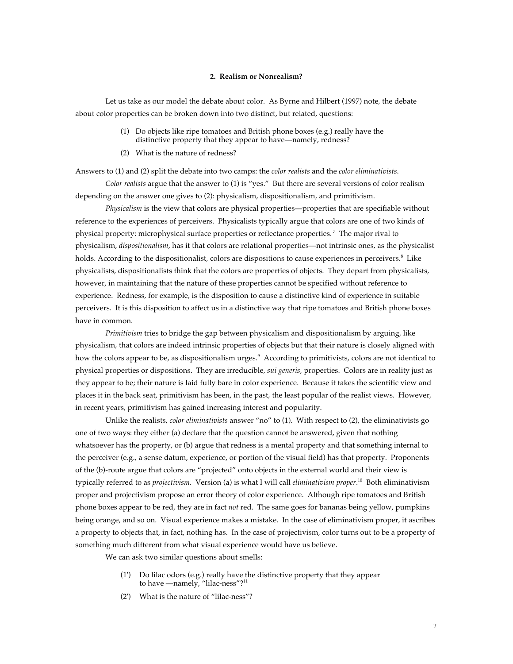### **2. Realism or Nonrealism?**

Let us take as our model the debate about color. As Byrne and Hilbert (1997) note, the debate about color properties can be broken down into two distinct, but related, questions:

- (1) Do objects like ripe tomatoes and British phone boxes (e.g.) really have the distinctive property that they appear to have—namely, redness?
- (2) What is the nature of redness?

Answers to (1) and (2) split the debate into two camps: the *color realists* and the *color eliminativists*.

*Color realists* argue that the answer to (1) is "yes." But there are several versions of color realism depending on the answer one gives to (2): physicalism, dispositionalism, and primitivism.

*Physicalism* is the view that colors are physical properties—properties that are specifiable without reference to the experiences of perceivers. Physicalists typically argue that colors are one of two kinds of physical property: microphysical surface properties or reflectance properties.<sup>7</sup> The major rival to physicalism, *dispositionalism*, has it that colors are relational properties—not intrinsic ones, as the physicalist holds. According to the dispositionalist, colors are dispositions to cause experiences in perceivers.<sup>8</sup> Like physicalists, dispositionalists think that the colors are properties of objects. They depart from physicalists, however, in maintaining that the nature of these properties cannot be specified without reference to experience. Redness, for example, is the disposition to cause a distinctive kind of experience in suitable perceivers. It is this disposition to affect us in a distinctive way that ripe tomatoes and British phone boxes have in common.

*Primitivism* tries to bridge the gap between physicalism and dispositionalism by arguing, like physicalism, that colors are indeed intrinsic properties of objects but that their nature is closely aligned with how the colors appear to be, as dispositionalism urges.<sup>9</sup> According to primitivists, colors are not identical to physical properties or dispositions. They are irreducible, *sui generis*, properties. Colors are in reality just as they appear to be; their nature is laid fully bare in color experience. Because it takes the scientific view and places it in the back seat, primitivism has been, in the past, the least popular of the realist views. However, in recent years, primitivism has gained increasing interest and popularity.

Unlike the realists, *color eliminativists* answer "no" to (1). With respect to (2), the eliminativists go one of two ways: they either (a) declare that the question cannot be answered, given that nothing whatsoever has the property, or (b) argue that redness is a mental property and that something internal to the perceiver (e.g., a sense datum, experience, or portion of the visual field) has that property. Proponents of the (b)-route argue that colors are "projected" onto objects in the external world and their view is typically referred to as *projectivism*. Version (a) is what I will call *eliminativism proper*. 10 Both eliminativism proper and projectivism propose an error theory of color experience. Although ripe tomatoes and British phone boxes appear to be red, they are in fact *not* red. The same goes for bananas being yellow, pumpkins being orange, and so on. Visual experience makes a mistake. In the case of eliminativism proper, it ascribes a property to objects that, in fact, nothing has. In the case of projectivism, color turns out to be a property of something much different from what visual experience would have us believe.

We can ask two similar questions about smells:

- (1') Do lilac odors (e.g.) really have the distinctive property that they appear to have  $-$ namely, "lilac-ness"? $11$
- (2') What is the nature of "lilac-ness"?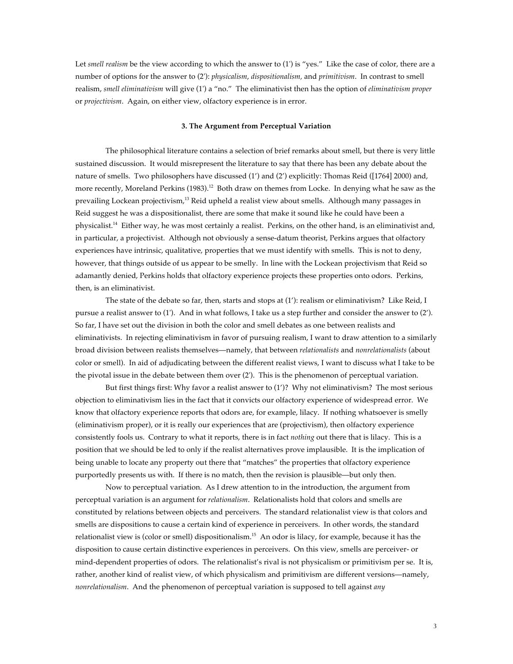Let *smell realism* be the view according to which the answer to (1') is "yes." Like the case of color, there are a number of options for the answer to (2'): *physicalism*, *dispositionalism,* and *primitivism*. In contrast to smell realism, *smell eliminativism* will give (1') a "no." The eliminativist then has the option of *eliminativism proper* or *projectivism*. Again, on either view, olfactory experience is in error.

### **3. The Argument from Perceptual Variation**

The philosophical literature contains a selection of brief remarks about smell, but there is very little sustained discussion. It would misrepresent the literature to say that there has been any debate about the nature of smells. Two philosophers have discussed (1') and (2') explicitly: Thomas Reid ([1764] 2000) and, more recently, Moreland Perkins (1983).<sup>12</sup> Both draw on themes from Locke. In denying what he saw as the prevailing Lockean projectivism, 13 Reid upheld a realist view about smells. Although many passages in Reid suggest he was a dispositionalist, there are some that make it sound like he could have been a physicalist.<sup>14</sup> Either way, he was most certainly a realist. Perkins, on the other hand, is an eliminativist and, in particular, a projectivist. Although not obviously a sense-datum theorist, Perkins argues that olfactory experiences have intrinsic, qualitative, properties that we must identify with smells. This is not to deny, however, that things outside of us appear to be smelly. In line with the Lockean projectivism that Reid so adamantly denied, Perkins holds that olfactory experience projects these properties onto odors. Perkins, then, is an eliminativist.

The state of the debate so far, then, starts and stops at (1'): realism or eliminativism? Like Reid, I pursue a realist answer to (1'). And in what follows, I take us a step further and consider the answer to (2'). So far, I have set out the division in both the color and smell debates as one between realists and eliminativists. In rejecting eliminativism in favor of pursuing realism, I want to draw attention to a similarly broad division between realists themselves—namely, that between *relationalists* and *nonrelationalists* (about color or smell). In aid of adjudicating between the different realist views, I want to discuss what I take to be the pivotal issue in the debate between them over (2'). This is the phenomenon of perceptual variation.

But first things first: Why favor a realist answer to (1')? Why not eliminativism? The most serious objection to eliminativism lies in the fact that it convicts our olfactory experience of widespread error. We know that olfactory experience reports that odors are, for example, lilacy. If nothing whatsoever is smelly (eliminativism proper), or it is really our experiences that are (projectivism), then olfactory experience consistently fools us. Contrary to what it reports, there is in fact *nothing* out there that is lilacy. This is a position that we should be led to only if the realist alternatives prove implausible. It is the implication of being unable to locate any property out there that "matches" the properties that olfactory experience purportedly presents us with. If there is no match, then the revision is plausible—but only then.

Now to perceptual variation. As I drew attention to in the introduction, the argument from perceptual variation is an argument for *relationalism*. Relationalists hold that colors and smells are constituted by relations between objects and perceivers. The standard relationalist view is that colors and smells are dispositions to cause a certain kind of experience in perceivers. In other words, the standard relationalist view is (color or smell) dispositionalism.<sup>15</sup> An odor is lilacy, for example, because it has the disposition to cause certain distinctive experiences in perceivers. On this view, smells are perceiver- or mind-dependent properties of odors. The relationalist's rival is not physicalism or primitivism per se. It is, rather, another kind of realist view, of which physicalism and primitivism are different versions—namely, *nonrelationalism*. And the phenomenon of perceptual variation is supposed to tell against *any*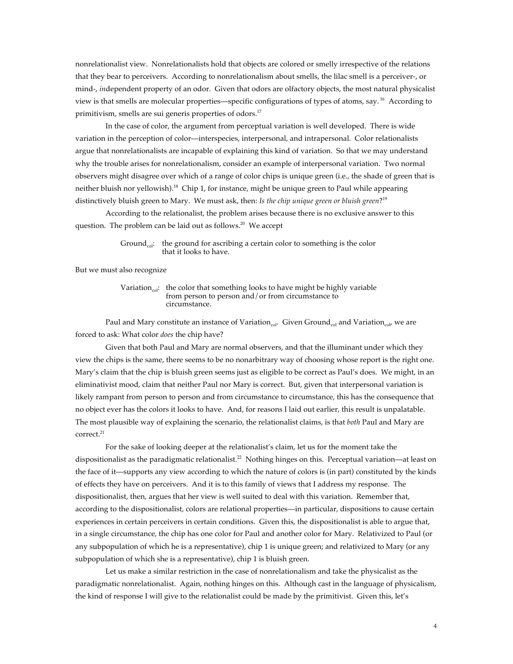nonrelationalist view. Nonrelationalists hold that objects are colored or smelly irrespective of the relations that they bear to perceivers. According to nonrelationalism about smells, the lilac smell is a perceiver-, or mind-, *in*dependent property of an odor. Given that odors are olfactory objects, the most natural physicalist view is that smells are molecular properties—specific configurations of types of atoms, say. 16 According to primitivism, smells are sui generis properties of odors.<sup>17</sup>

In the case of color, the argument from perceptual variation is well developed. There is wide variation in the perception of color—interspecies, interpersonal, and intrapersonal. Color relationalists argue that nonrelationalists are incapable of explaining this kind of variation. So that we may understand why the trouble arises for nonrelationalism, consider an example of interpersonal variation. Two normal observers might disagree over which of a range of color chips is unique green (i.e., the shade of green that is neither bluish nor yellowish).<sup>18</sup> Chip 1, for instance, might be unique green to Paul while appearing distinctively bluish green to Mary. We must ask, then: *Is the chip unique green or bluish green*?<sup>19</sup>

According to the relationalist, the problem arises because there is no exclusive answer to this question. The problem can be laid out as follows.<sup>20</sup> We accept

> Ground<sub>col</sub>: the ground for ascribing a certain color to something is the color that it looks to have.

But we must also recognize

Variation<sub>col</sub>: the color that something looks to have might be highly variable from person to person and/or from circumstance to circumstance.

Paul and Mary constitute an instance of Variation<sub>col</sub>. Given Ground<sub>col</sub> and Variation<sub>col</sub>, we are forced to ask: What color *does* the chip have?

Given that both Paul and Mary are normal observers, and that the illuminant under which they view the chips is the same, there seems to be no nonarbitrary way of choosing whose report is the right one. Mary's claim that the chip is bluish green seems just as eligible to be correct as Paul's does. We might, in an eliminativist mood, claim that neither Paul nor Mary is correct. But, given that interpersonal variation is likely rampant from person to person and from circumstance to circumstance, this has the consequence that no object ever has the colors it looks to have. And, for reasons I laid out earlier, this result is unpalatable. The most plausible way of explaining the scenario, the relationalist claims, is that *both* Paul and Mary are correct.<sup>21</sup>

For the sake of looking deeper at the relationalist's claim, let us for the moment take the dispositionalist as the paradigmatic relationalist.<sup>22</sup> Nothing hinges on this. Perceptual variation—at least on the face of it—supports any view according to which the nature of colors is (in part) constituted by the kinds of effects they have on perceivers. And it is to this family of views that I address my response. The dispositionalist, then, argues that her view is well suited to deal with this variation. Remember that, according to the dispositionalist, colors are relational properties—in particular, dispositions to cause certain experiences in certain perceivers in certain conditions. Given this, the dispositionalist is able to argue that, in a single circumstance, the chip has one color for Paul and another color for Mary. Relativized to Paul (or any subpopulation of which he is a representative), chip 1 is unique green; and relativized to Mary (or any subpopulation of which she is a representative), chip 1 is bluish green.

Let us make a similar restriction in the case of nonrelationalism and take the physicalist as the paradigmatic nonrelationalist. Again, nothing hinges on this. Although cast in the language of physicalism, the kind of response I will give to the relationalist could be made by the primitivist. Given this, let's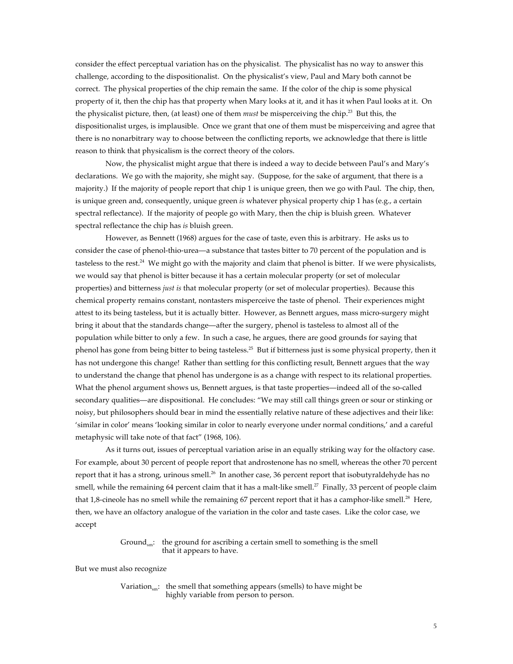consider the effect perceptual variation has on the physicalist. The physicalist has no way to answer this challenge, according to the dispositionalist. On the physicalist's view, Paul and Mary both cannot be correct. The physical properties of the chip remain the same. If the color of the chip is some physical property of it, then the chip has that property when Mary looks at it, and it has it when Paul looks at it. On the physicalist picture, then, (at least) one of them *must* be misperceiving the chip.23 But this, the dispositionalist urges, is implausible. Once we grant that one of them must be misperceiving and agree that there is no nonarbitrary way to choose between the conflicting reports, we acknowledge that there is little reason to think that physicalism is the correct theory of the colors.

Now, the physicalist might argue that there is indeed a way to decide between Paul's and Mary's declarations. We go with the majority, she might say. (Suppose, for the sake of argument, that there is a majority.) If the majority of people report that chip 1 is unique green, then we go with Paul. The chip, then, is unique green and, consequently, unique green *is* whatever physical property chip 1 has (e.g., a certain spectral reflectance). If the majority of people go with Mary, then the chip is bluish green. Whatever spectral reflectance the chip has *is* bluish green.

However, as Bennett (1968) argues for the case of taste, even this is arbitrary. He asks us to consider the case of phenol-thio-urea—a substance that tastes bitter to 70 percent of the population and is tasteless to the rest.<sup>24</sup> We might go with the majority and claim that phenol is bitter. If we were physicalists, we would say that phenol is bitter because it has a certain molecular property (or set of molecular properties) and bitterness *just is* that molecular property (or set of molecular properties). Because this chemical property remains constant, nontasters misperceive the taste of phenol. Their experiences might attest to its being tasteless, but it is actually bitter. However, as Bennett argues, mass micro-surgery might bring it about that the standards change—after the surgery, phenol is tasteless to almost all of the population while bitter to only a few. In such a case, he argues, there are good grounds for saying that phenol has gone from being bitter to being tasteless.<sup>25</sup> But if bitterness just is some physical property, then it has not undergone this change! Rather than settling for this conflicting result, Bennett argues that the way to understand the change that phenol has undergone is as a change with respect to its relational properties. What the phenol argument shows us, Bennett argues, is that taste properties—indeed all of the so-called secondary qualities—are dispositional. He concludes: "We may still call things green or sour or stinking or noisy, but philosophers should bear in mind the essentially relative nature of these adjectives and their like: 'similar in color' means 'looking similar in color to nearly everyone under normal conditions,' and a careful metaphysic will take note of that fact" (1968, 106).

As it turns out, issues of perceptual variation arise in an equally striking way for the olfactory case. For example, about 30 percent of people report that androstenone has no smell, whereas the other 70 percent report that it has a strong, urinous smell.<sup>26</sup> In another case, 36 percent report that isobutyraldehyde has no smell, while the remaining 64 percent claim that it has a malt-like smell.<sup>27</sup> Finally, 33 percent of people claim that 1,8-cineole has no smell while the remaining 67 percent report that it has a camphor-like smell.<sup>28</sup> Here, then, we have an olfactory analogue of the variation in the color and taste cases. Like the color case, we accept

> Ground<sub>am</sub>: the ground for ascribing a certain smell to something is the smell that it appears to have.

But we must also recognize

Variation<sub>sm</sub>: the smell that something appears (smells) to have might be highly variable from person to person.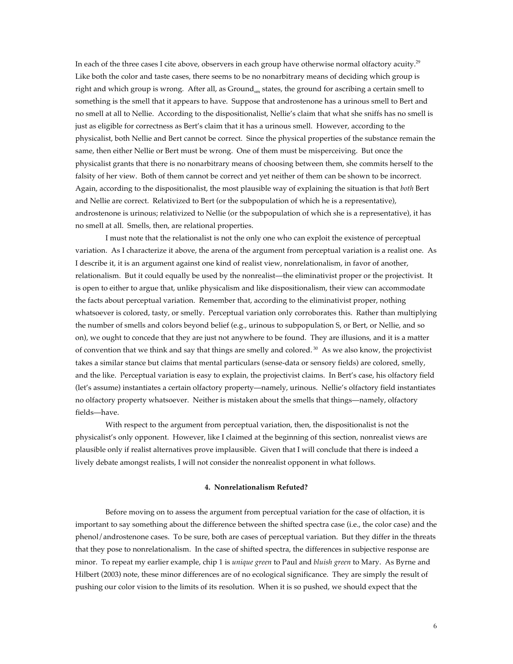In each of the three cases I cite above, observers in each group have otherwise normal olfactory acuity.<sup>29</sup> Like both the color and taste cases, there seems to be no nonarbitrary means of deciding which group is right and which group is wrong. After all, as Ground<sub>sm</sub> states, the ground for ascribing a certain smell to something is the smell that it appears to have. Suppose that androstenone has a urinous smell to Bert and no smell at all to Nellie. According to the dispositionalist, Nellie's claim that what she sniffs has no smell is just as eligible for correctness as Bert's claim that it has a urinous smell. However, according to the physicalist, both Nellie and Bert cannot be correct. Since the physical properties of the substance remain the same, then either Nellie or Bert must be wrong. One of them must be misperceiving. But once the physicalist grants that there is no nonarbitrary means of choosing between them, she commits herself to the falsity of her view. Both of them cannot be correct and yet neither of them can be shown to be incorrect. Again, according to the dispositionalist, the most plausible way of explaining the situation is that *both* Bert and Nellie are correct. Relativized to Bert (or the subpopulation of which he is a representative), androstenone is urinous; relativized to Nellie (or the subpopulation of which she is a representative), it has no smell at all. Smells, then, are relational properties.

I must note that the relationalist is not the only one who can exploit the existence of perceptual variation. As I characterize it above, the arena of the argument from perceptual variation is a realist one. As I describe it, it is an argument against one kind of realist view, nonrelationalism, in favor of another, relationalism. But it could equally be used by the nonrealist—the eliminativist proper or the projectivist. It is open to either to argue that, unlike physicalism and like dispositionalism, their view can accommodate the facts about perceptual variation. Remember that, according to the eliminativist proper, nothing whatsoever is colored, tasty, or smelly. Perceptual variation only corroborates this. Rather than multiplying the number of smells and colors beyond belief (e.g., urinous to subpopulation S, or Bert, or Nellie, and so on), we ought to concede that they are just not anywhere to be found. They are illusions, and it is a matter of convention that we think and say that things are smelly and colored.  $\delta$ <sup>0</sup> As we also know, the projectivist takes a similar stance but claims that mental particulars (sense-data or sensory fields) are colored, smelly, and the like. Perceptual variation is easy to explain, the projectivist claims. In Bert's case, his olfactory field (let's assume) instantiates a certain olfactory property—namely, urinous. Nellie's olfactory field instantiates no olfactory property whatsoever. Neither is mistaken about the smells that things—namely, olfactory fields—have.

With respect to the argument from perceptual variation, then, the dispositionalist is not the physicalist's only opponent. However, like I claimed at the beginning of this section, nonrealist views are plausible only if realist alternatives prove implausible. Given that I will conclude that there is indeed a lively debate amongst realists, I will not consider the nonrealist opponent in what follows.

# **4. Nonrelationalism Refuted?**

Before moving on to assess the argument from perceptual variation for the case of olfaction, it is important to say something about the difference between the shifted spectra case (i.e., the color case) and the phenol/androstenone cases. To be sure, both are cases of perceptual variation. But they differ in the threats that they pose to nonrelationalism. In the case of shifted spectra, the differences in subjective response are minor. To repeat my earlier example, chip 1 is *unique green* to Paul and *bluish green* to Mary. As Byrne and Hilbert (2003) note, these minor differences are of no ecological significance. They are simply the result of pushing our color vision to the limits of its resolution. When it is so pushed, we should expect that the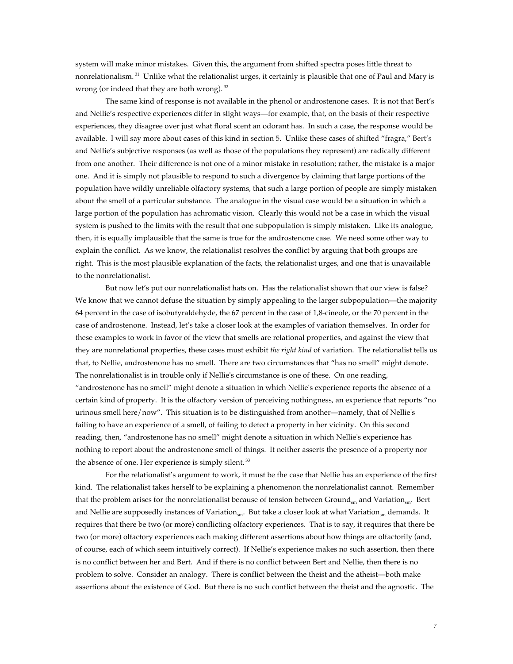system will make minor mistakes. Given this, the argument from shifted spectra poses little threat to nonrelationalism.<sup>31</sup> Unlike what the relationalist urges, it certainly is plausible that one of Paul and Mary is wrong (or indeed that they are both wrong). <sup>32</sup>

The same kind of response is not available in the phenol or androstenone cases. It is not that Bert's and Nellie's respective experiences differ in slight ways—for example, that, on the basis of their respective experiences, they disagree over just what floral scent an odorant has. In such a case, the response would be available. I will say more about cases of this kind in section 5. Unlike these cases of shifted "fragra," Bert's and Nellie's subjective responses (as well as those of the populations they represent) are radically different from one another. Their difference is not one of a minor mistake in resolution; rather, the mistake is a major one. And it is simply not plausible to respond to such a divergence by claiming that large portions of the population have wildly unreliable olfactory systems, that such a large portion of people are simply mistaken about the smell of a particular substance. The analogue in the visual case would be a situation in which a large portion of the population has achromatic vision. Clearly this would not be a case in which the visual system is pushed to the limits with the result that one subpopulation is simply mistaken. Like its analogue, then, it is equally implausible that the same is true for the androstenone case. We need some other way to explain the conflict. As we know, the relationalist resolves the conflict by arguing that both groups are right. This is the most plausible explanation of the facts, the relationalist urges, and one that is unavailable to the nonrelationalist.

But now let's put our nonrelationalist hats on. Has the relationalist shown that our view is false? We know that we cannot defuse the situation by simply appealing to the larger subpopulation—the majority 64 percent in the case of isobutyraldehyde, the 67 percent in the case of 1,8-cineole, or the 70 percent in the case of androstenone. Instead, let's take a closer look at the examples of variation themselves. In order for these examples to work in favor of the view that smells are relational properties, and against the view that they are nonrelational properties, these cases must exhibit *the right kind* of variation. The relationalist tells us that, to Nellie, androstenone has no smell. There are two circumstances that "has no smell" might denote. The nonrelationalist is in trouble only if Nellie's circumstance is one of these. On one reading, "androstenone has no smell" might denote a situation in which Nellie's experience reports the absence of a certain kind of property. It is the olfactory version of perceiving nothingness, an experience that reports "no urinous smell here/now". This situation is to be distinguished from another—namely, that of Nellie's failing to have an experience of a smell, of failing to detect a property in her vicinity. On this second reading, then, "androstenone has no smell" might denote a situation in which Nellie's experience has nothing to report about the androstenone smell of things. It neither asserts the presence of a property nor the absence of one. Her experience is simply silent.  $^{33}$ 

For the relationalist's argument to work, it must be the case that Nellie has an experience of the first kind. The relationalist takes herself to be explaining a phenomenon the nonrelationalist cannot. Remember that the problem arises for the nonrelationalist because of tension between  $Ground_{em}$  and Variation<sub>sm</sub>. Bert and Nellie are supposedly instances of Variation<sub>sm</sub>. But take a closer look at what Variation<sub>sm</sub> demands. It requires that there be two (or more) conflicting olfactory experiences. That is to say, it requires that there be two (or more) olfactory experiences each making different assertions about how things are olfactorily (and, of course, each of which seem intuitively correct). If Nellie's experience makes no such assertion, then there is no conflict between her and Bert. And if there is no conflict between Bert and Nellie, then there is no problem to solve. Consider an analogy. There is conflict between the theist and the atheist—both make assertions about the existence of God. But there is no such conflict between the theist and the agnostic. The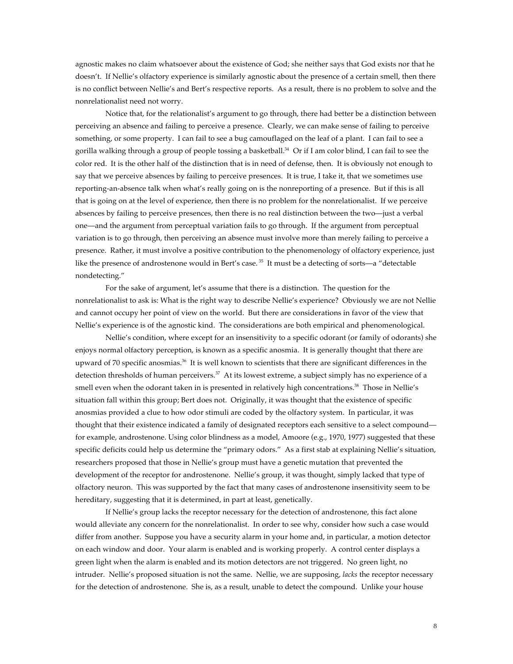agnostic makes no claim whatsoever about the existence of God; she neither says that God exists nor that he doesn't. If Nellie's olfactory experience is similarly agnostic about the presence of a certain smell, then there is no conflict between Nellie's and Bert's respective reports. As a result, there is no problem to solve and the nonrelationalist need not worry.

Notice that, for the relationalist's argument to go through, there had better be a distinction between perceiving an absence and failing to perceive a presence. Clearly, we can make sense of failing to perceive something, or some property. I can fail to see a bug camouflaged on the leaf of a plant. I can fail to see a gorilla walking through a group of people tossing a basketball.<sup>34</sup> Or if I am color blind, I can fail to see the color red. It is the other half of the distinction that is in need of defense, then. It is obviously not enough to say that we perceive absences by failing to perceive presences. It is true, I take it, that we sometimes use reporting-an-absence talk when what's really going on is the nonreporting of a presence. But if this is all that is going on at the level of experience, then there is no problem for the nonrelationalist. If we perceive absences by failing to perceive presences, then there is no real distinction between the two—just a verbal one—and the argument from perceptual variation fails to go through. If the argument from perceptual variation is to go through, then perceiving an absence must involve more than merely failing to perceive a presence. Rather, it must involve a positive contribution to the phenomenology of olfactory experience, just like the presence of androstenone would in Bert's case.<sup>35</sup> It must be a detecting of sorts—a "detectable nondetecting."

For the sake of argument, let's assume that there is a distinction. The question for the nonrelationalist to ask is: What is the right way to describe Nellie's experience? Obviously we are not Nellie and cannot occupy her point of view on the world. But there are considerations in favor of the view that Nellie's experience is of the agnostic kind. The considerations are both empirical and phenomenological.

Nellie's condition, where except for an insensitivity to a specific odorant (or family of odorants) she enjoys normal olfactory perception, is known as a specific anosmia. It is generally thought that there are upward of 70 specific anosmias.<sup>36</sup> It is well known to scientists that there are significant differences in the detection thresholds of human perceivers. $37$  At its lowest extreme, a subject simply has no experience of a smell even when the odorant taken in is presented in relatively high concentrations.<sup>38</sup> Those in Nellie's situation fall within this group; Bert does not. Originally, it was thought that the existence of specific anosmias provided a clue to how odor stimuli are coded by the olfactory system. In particular, it was thought that their existence indicated a family of designated receptors each sensitive to a select compound for example, androstenone. Using color blindness as a model, Amoore (e.g., 1970, 1977) suggested that these specific deficits could help us determine the "primary odors." As a first stab at explaining Nellie's situation, researchers proposed that those in Nellie's group must have a genetic mutation that prevented the development of the receptor for androstenone. Nellie's group, it was thought, simply lacked that type of olfactory neuron. This was supported by the fact that many cases of androstenone insensitivity seem to be hereditary, suggesting that it is determined, in part at least, genetically.

If Nellie's group lacks the receptor necessary for the detection of androstenone, this fact alone would alleviate any concern for the nonrelationalist. In order to see why, consider how such a case would differ from another. Suppose you have a security alarm in your home and, in particular, a motion detector on each window and door. Your alarm is enabled and is working properly. A control center displays a green light when the alarm is enabled and its motion detectors are not triggered. No green light, no intruder. Nellie's proposed situation is not the same. Nellie, we are supposing, *lacks* the receptor necessary for the detection of androstenone. She is, as a result, unable to detect the compound. Unlike your house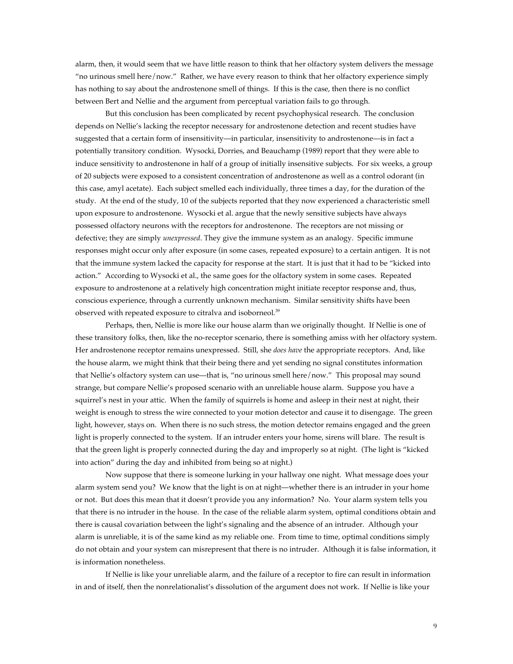alarm, then, it would seem that we have little reason to think that her olfactory system delivers the message "no urinous smell here/now." Rather, we have every reason to think that her olfactory experience simply has nothing to say about the androstenone smell of things. If this is the case, then there is no conflict between Bert and Nellie and the argument from perceptual variation fails to go through.

But this conclusion has been complicated by recent psychophysical research. The conclusion depends on Nellie's lacking the receptor necessary for androstenone detection and recent studies have suggested that a certain form of insensitivity—in particular, insensitivity to androstenone—is in fact a potentially transitory condition. Wysocki, Dorries, and Beauchamp (1989) report that they were able to induce sensitivity to androstenone in half of a group of initially insensitive subjects. For six weeks, a group of 20 subjects were exposed to a consistent concentration of androstenone as well as a control odorant (in this case, amyl acetate). Each subject smelled each individually, three times a day, for the duration of the study. At the end of the study, 10 of the subjects reported that they now experienced a characteristic smell upon exposure to androstenone. Wysocki et al. argue that the newly sensitive subjects have always possessed olfactory neurons with the receptors for androstenone. The receptors are not missing or defective; they are simply *unexpressed*. They give the immune system as an analogy. Specific immune responses might occur only after exposure (in some cases, repeated exposure) to a certain antigen. It is not that the immune system lacked the capacity for response at the start. It is just that it had to be "kicked into action." According to Wysocki et al., the same goes for the olfactory system in some cases. Repeated exposure to androstenone at a relatively high concentration might initiate receptor response and, thus, conscious experience, through a currently unknown mechanism. Similar sensitivity shifts have been observed with repeated exposure to citralva and isoborneol.<sup>39</sup>

Perhaps, then, Nellie is more like our house alarm than we originally thought. If Nellie is one of these transitory folks, then, like the no-receptor scenario, there is something amiss with her olfactory system. Her androstenone receptor remains unexpressed. Still, she *does have* the appropriate receptors. And, like the house alarm, we might think that their being there and yet sending no signal constitutes information that Nellie's olfactory system can use—that is, "no urinous smell here/now." This proposal may sound strange, but compare Nellie's proposed scenario with an unreliable house alarm. Suppose you have a squirrel's nest in your attic. When the family of squirrels is home and asleep in their nest at night, their weight is enough to stress the wire connected to your motion detector and cause it to disengage. The green light, however, stays on. When there is no such stress, the motion detector remains engaged and the green light is properly connected to the system. If an intruder enters your home, sirens will blare. The result is that the green light is properly connected during the day and improperly so at night. (The light is "kicked into action" during the day and inhibited from being so at night.)

Now suppose that there is someone lurking in your hallway one night. What message does your alarm system send you? We know that the light is on at night—whether there is an intruder in your home or not. But does this mean that it doesn't provide you any information? No. Your alarm system tells you that there is no intruder in the house. In the case of the reliable alarm system, optimal conditions obtain and there is causal covariation between the light's signaling and the absence of an intruder. Although your alarm is unreliable, it is of the same kind as my reliable one. From time to time, optimal conditions simply do not obtain and your system can misrepresent that there is no intruder. Although it is false information, it is information nonetheless.

If Nellie is like your unreliable alarm, and the failure of a receptor to fire can result in information in and of itself, then the nonrelationalist's dissolution of the argument does not work. If Nellie is like your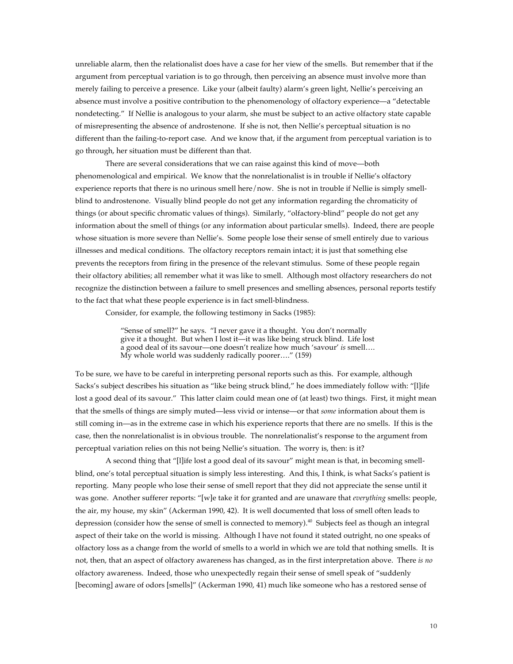unreliable alarm, then the relationalist does have a case for her view of the smells. But remember that if the argument from perceptual variation is to go through, then perceiving an absence must involve more than merely failing to perceive a presence. Like your (albeit faulty) alarm's green light, Nellie's perceiving an absence must involve a positive contribution to the phenomenology of olfactory experience—a "detectable nondetecting." If Nellie is analogous to your alarm, she must be subject to an active olfactory state capable of misrepresenting the absence of androstenone. If she is not, then Nellie's perceptual situation is no different than the failing-to-report case. And we know that, if the argument from perceptual variation is to go through, her situation must be different than that.

There are several considerations that we can raise against this kind of move—both phenomenological and empirical. We know that the nonrelationalist is in trouble if Nellie's olfactory experience reports that there is no urinous smell here/now. She is not in trouble if Nellie is simply smellblind to androstenone. Visually blind people do not get any information regarding the chromaticity of things (or about specific chromatic values of things). Similarly, "olfactory-blind" people do not get any information about the smell of things (or any information about particular smells). Indeed, there are people whose situation is more severe than Nellie's. Some people lose their sense of smell entirely due to various illnesses and medical conditions. The olfactory receptors remain intact; it is just that something else prevents the receptors from firing in the presence of the relevant stimulus. Some of these people regain their olfactory abilities; all remember what it was like to smell. Although most olfactory researchers do not recognize the distinction between a failure to smell presences and smelling absences, personal reports testify to the fact that what these people experience is in fact smell-blindness.

Consider, for example, the following testimony in Sacks (1985):

"Sense of smell?" he says. "I never gave it a thought. You don't normally give it a thought. But when I lost it—it was like being struck blind. Life lost a good deal of its savour—one doesn't realize how much 'savour' *is* smell…. My whole world was suddenly radically poorer…." (159)

To be sure, we have to be careful in interpreting personal reports such as this. For example, although Sacks's subject describes his situation as "like being struck blind," he does immediately follow with: "[l]ife lost a good deal of its savour." This latter claim could mean one of (at least) two things. First, it might mean that the smells of things are simply muted—less vivid or intense—or that *some* information about them is still coming in—as in the extreme case in which his experience reports that there are no smells. If this is the case, then the nonrelationalist is in obvious trouble. The nonrelationalist's response to the argument from perceptual variation relies on this not being Nellie's situation. The worry is, then: is it?

A second thing that "[l]ife lost a good deal of its savour" might mean is that, in becoming smellblind, one's total perceptual situation is simply less interesting. And this, I think, is what Sacks's patient is reporting. Many people who lose their sense of smell report that they did not appreciate the sense until it was gone. Another sufferer reports: "[w]e take it for granted and are unaware that *everything* smells: people, the air, my house, my skin" (Ackerman 1990, 42). It is well documented that loss of smell often leads to depression (consider how the sense of smell is connected to memory).<sup>40</sup> Subjects feel as though an integral aspect of their take on the world is missing. Although I have not found it stated outright, no one speaks of olfactory loss as a change from the world of smells to a world in which we are told that nothing smells. It is not, then, that an aspect of olfactory awareness has changed, as in the first interpretation above. There *is no* olfactory awareness. Indeed, those who unexpectedly regain their sense of smell speak of "suddenly [becoming] aware of odors [smells]" (Ackerman 1990, 41) much like someone who has a restored sense of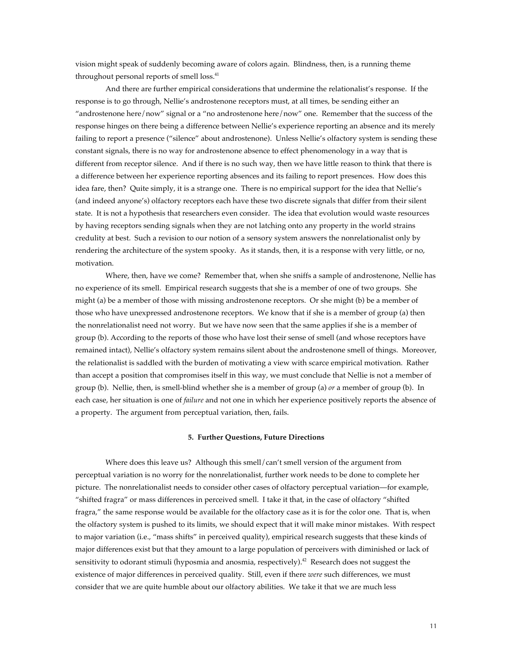vision might speak of suddenly becoming aware of colors again. Blindness, then, is a running theme throughout personal reports of smell loss.<sup>41</sup>

And there are further empirical considerations that undermine the relationalist's response. If the response is to go through, Nellie's androstenone receptors must, at all times, be sending either an "androstenone here/now" signal or a "no androstenone here/now" one. Remember that the success of the response hinges on there being a difference between Nellie's experience reporting an absence and its merely failing to report a presence ("silence" about androstenone). Unless Nellie's olfactory system is sending these constant signals, there is no way for androstenone absence to effect phenomenology in a way that is different from receptor silence. And if there is no such way, then we have little reason to think that there is a difference between her experience reporting absences and its failing to report presences. How does this idea fare, then? Quite simply, it is a strange one. There is no empirical support for the idea that Nellie's (and indeed anyone's) olfactory receptors each have these two discrete signals that differ from their silent state. It is not a hypothesis that researchers even consider. The idea that evolution would waste resources by having receptors sending signals when they are not latching onto any property in the world strains credulity at best. Such a revision to our notion of a sensory system answers the nonrelationalist only by rendering the architecture of the system spooky. As it stands, then, it is a response with very little, or no, motivation.

Where, then, have we come? Remember that, when she sniffs a sample of androstenone, Nellie has no experience of its smell. Empirical research suggests that she is a member of one of two groups. She might (a) be a member of those with missing androstenone receptors. Or she might (b) be a member of those who have unexpressed androstenone receptors. We know that if she is a member of group (a) then the nonrelationalist need not worry. But we have now seen that the same applies if she is a member of group (b). According to the reports of those who have lost their sense of smell (and whose receptors have remained intact), Nellie's olfactory system remains silent about the androstenone smell of things. Moreover, the relationalist is saddled with the burden of motivating a view with scarce empirical motivation. Rather than accept a position that compromises itself in this way, we must conclude that Nellie is not a member of group (b). Nellie, then, is smell-blind whether she is a member of group (a) *or* a member of group (b). In each case, her situation is one of *failure* and not one in which her experience positively reports the absence of a property. The argument from perceptual variation, then, fails.

### **5. Further Questions, Future Directions**

Where does this leave us? Although this smell/can't smell version of the argument from perceptual variation is no worry for the nonrelationalist, further work needs to be done to complete her picture. The nonrelationalist needs to consider other cases of olfactory perceptual variation—for example, "shifted fragra" or mass differences in perceived smell. I take it that, in the case of olfactory "shifted fragra," the same response would be available for the olfactory case as it is for the color one. That is, when the olfactory system is pushed to its limits, we should expect that it will make minor mistakes. With respect to major variation (i.e., "mass shifts" in perceived quality), empirical research suggests that these kinds of major differences exist but that they amount to a large population of perceivers with diminished or lack of sensitivity to odorant stimuli (hyposmia and anosmia, respectively). $42$  Research does not suggest the existence of major differences in perceived quality. Still, even if there *were* such differences, we must consider that we are quite humble about our olfactory abilities. We take it that we are much less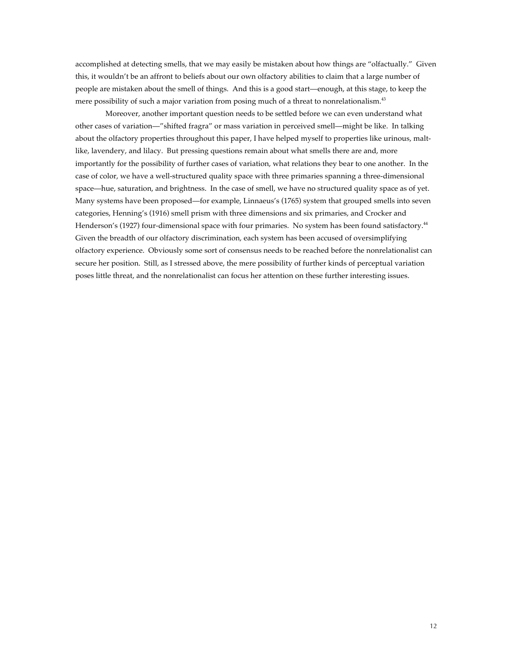accomplished at detecting smells, that we may easily be mistaken about how things are "olfactually." Given this, it wouldn't be an affront to beliefs about our own olfactory abilities to claim that a large number of people are mistaken about the smell of things. And this is a good start—enough, at this stage, to keep the mere possibility of such a major variation from posing much of a threat to nonrelationalism.<sup>43</sup>

Moreover, another important question needs to be settled before we can even understand what other cases of variation—"shifted fragra" or mass variation in perceived smell—might be like. In talking about the olfactory properties throughout this paper, I have helped myself to properties like urinous, maltlike, lavendery, and lilacy. But pressing questions remain about what smells there are and, more importantly for the possibility of further cases of variation, what relations they bear to one another. In the case of color, we have a well-structured quality space with three primaries spanning a three-dimensional space—hue, saturation, and brightness. In the case of smell, we have no structured quality space as of yet. Many systems have been proposed—for example, Linnaeus's (1765) system that grouped smells into seven categories, Henning's (1916) smell prism with three dimensions and six primaries, and Crocker and Henderson's (1927) four-dimensional space with four primaries. No system has been found satisfactory.<sup>44</sup> Given the breadth of our olfactory discrimination, each system has been accused of oversimplifying olfactory experience. Obviously some sort of consensus needs to be reached before the nonrelationalist can secure her position. Still, as I stressed above, the mere possibility of further kinds of perceptual variation poses little threat, and the nonrelationalist can focus her attention on these further interesting issues.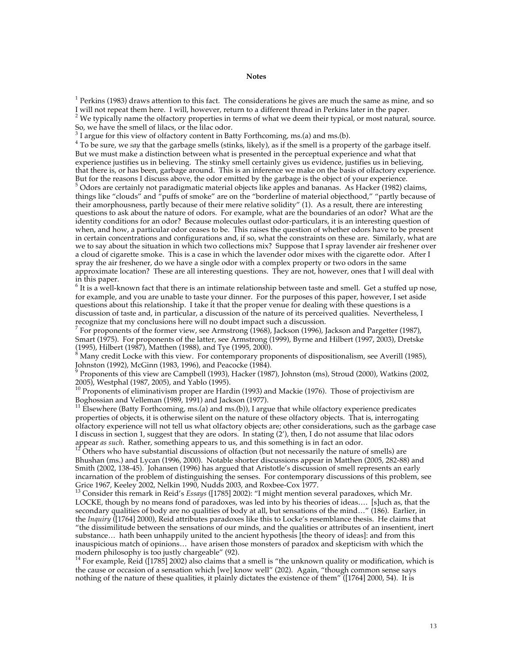$1$  Perkins (1983) draws attention to this fact. The considerations he gives are much the same as mine, and so I will not repeat them here. I will, however, return to a different thread in Perkins later in the paper. <sup>2</sup> We typically name the olfactory properties in terms of what we deem their typical, or most natural, source.

So, we have the smell of lilacs, or the lilac odor.

<sup>3</sup>I argue for this view of olfactory content in Batty Forthcoming, ms.(a) and ms.(b).

<sup>4</sup> To be sure, we *say* that the garbage smells (stinks, likely), as if the smell is a property of the garbage itself. But we must make a distinction between what is presented in the perceptual experience and what that experience justifies us in believing. The stinky smell certainly gives us evidence, justifies us in believing, that there is, or has been, garbage around. This is an inference we make on the basis of olfactory experience.<br>But for the reasons I discuss above, the odor emitted by the garbage is the object of your experience.

 $5$  Odors are certainly not paradigmatic material objects like apples and bananas. As Hacker (1982) claims, things like "clouds" and "puffs of smoke" are on the "borderline of material objecthood," "partly because of their amorphousness, partly because of their mere relative solidity" (1). As a result, there are interesting questions to ask about the nature of odors. For example, what are the boundaries of an odor? What are the identity conditions for an odor? Because molecules outlast odor-particulars, it is an interesting question of when, and how, a particular odor ceases to be. This raises the question of whether odors have to be present in certain concentrations and configurations and, if so, what the constraints on these are. Similarly, what are we to say about the situation in which two collections mix? Suppose that I spray lavender air freshener over a cloud of cigarette smoke. This is a case in which the lavender odor mixes with the cigarette odor. After I spray the air freshener, do we have a single odor with a complex property or two odors in the same approximate location? These are all interesting questions. They are not, however, ones that I will deal with in this paper.

 $6$  It is a well-known fact that there is an intimate relationship between taste and smell. Get a stuffed up nose, for example, and you are unable to taste your dinner. For the purposes of this paper, however, I set aside questions about this relationship. I take it that the proper venue for dealing with these questions is a discussion of taste and, in particular, a discussion of the nature of its perceived qualities. Nevertheless, I recognize that my conclusions here will no doubt impact such a discussion.

 $^7$  For proponents of the former view, see Armstrong (1968), Jackson (1996), Jackson and Pargetter (1987), Smart (1975). For proponents of the latter, see Armstrong (1999), Byrne and Hilbert (1997, 2003), Dretske

<sup>8</sup> Many credit Locke with this view. For contemporary proponents of dispositionalism, see Averill (1985), Johnston (1992), McGinn (1983, 1996), and Peacocke (1984).

 $\overline{P}$  Proponents of this view are Campbell (1993), Hacker (1987), Johnston (ms), Stroud (2000), Watkins (2002, 2005), Westphal (1987, 2005), and Yablo (1995).

 $10$  Proponents of eliminativism proper are Hardin (1993) and Mackie (1976). Those of projectivism are Boghossian and Velleman (1989, 1991) and Jackson (1977).

 $11$  Elsewhere (Batty Forthcoming, ms.(a) and ms.(b)), I argue that while olfactory experience predicates properties of objects, it is otherwise silent on the nature of these olfactory objects. That is, interrogating olfactory experience will not tell us what olfactory objects are; other considerations, such as the garbage case I discuss in section 1, suggest that they are odors. In stating (2'), then, I do not assume that lilac odors appear *as such*. Rather, something appears to us, and this something is in fact an odor.<br><sup>12</sup> Others who have substantial discussions of olfaction (but not necessarily the nature of smells) are

Bhushan (ms.) and Lycan (1996, 2000). Notable shorter discussions appear in Matthen (2005, 282-88) and Smith (2002, 138-45). Johansen (1996) has argued that Aristotle's discussion of smell represents an early incarnation of the problem of distinguishing the senses. For contemporary discussions of this problem, see<br>Grice 1967, Keeley 2002, Nelkin 1990, Nudds 2003, and Roxbee-Cox 1977.

<sup>13</sup> Consider this remark in Reid's *Essays* ([1785] 2002): "I might mention several paradoxes, which Mr. LOCKE, though by no means fond of paradoxes, was led into by his theories of ideas…. [s]uch as, that the secondary qualities of body are no qualities of body at all, but sensations of the mind…" (186). Earlier, in the *Inquiry* ([1764] 2000), Reid attributes paradoxes like this to Locke's resemblance thesis. He claims that "the dissimilitude between the sensations of our minds, and the qualities or attributes of an insentient, inert substance… hath been unhappily united to the ancient hypothesis [the theory of ideas]: and from this inauspicious match of opinions… have arisen those monsters of paradox and skepticism with which the modern philosophy is too justly chargeable" (92).

<sup>14</sup> For example, Reid ([1785] 2002) also claims that a smell is "the unknown quality or modification, which is the cause or occasion of a sensation which [we] know well" (202). Again, "though common sense says nothing of the nature of these qualities, it plainly dictates the existence of them" ([1764] 2000, 54). It is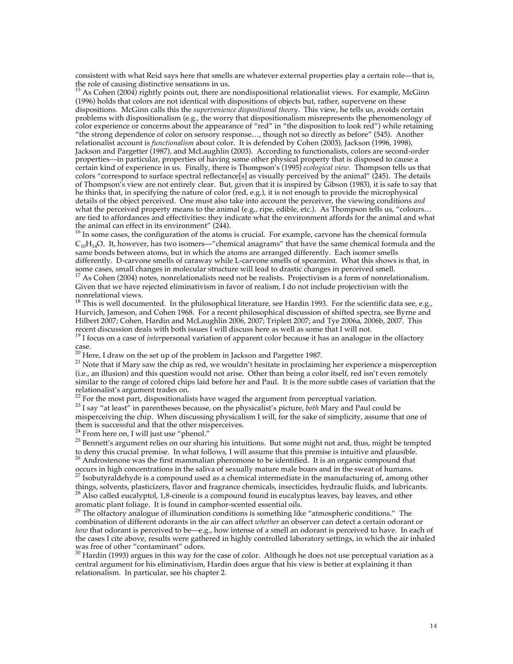consistent with what Reid says here that smells are whatever external properties play a certain role—that is, the role of causing distinctive sensations in us.

 $15$  As Cohen (2004) rightly points out, there are nondispositional relationalist views. For example, McGinn (1996) holds that colors are not identical with dispositions of objects but, rather, supervene on these dispositions. McGinn calls this the *supervenience dispositional theory*. This view, he tells us, avoids certain problems with dispositionalism (e.g., the worry that dispositionalism misrepresents the phenomenology of color experience or concerns about the appearance of "red" in "the disposition to look red") while retaining "the strong dependence of color on sensory response…, though not so directly as before" (545). Another relationalist account is *functionalism* about color. It is defended by Cohen (2003), Jackson (1996, 1998), Jackson and Pargetter (1987), and McLaughlin (2003). According to functionalists, colors are second-order properties—in particular, properties of having some other physical property that is disposed to cause a certain kind of experience in us. Finally, there is Thompson's (1995) *ecological view*. Thompson tells us that colors "correspond to surface spectral reflectance[s] as visually perceived by the animal" (245). The details of Thompson's view are not entirely clear. But, given that it is inspired by Gibson (1983), it is safe to say that he thinks that, in specifying the nature of color (red, e.g.), it is not enough to provide the microphysical details of the object perceived. One must also take into account the perceiver, the viewing conditions *and* what the perceived property means to the animal (e.g., ripe, edible, etc.). As Thompson tells us, "colours... are tied to affordances and effectivities: they indicate what the environment affords for the animal and what the animal can effect in its environment"  $(244)$ .

<sup>16</sup> In some cases, the configuration of the atoms is crucial. For example, carvone has the chemical formula  $C_{10}H_{14}O$ . It, however, has two isomers—"chemical anagrams" that have the same chemical formula and the same bonds between atoms, but in which the atoms are arranged differently. Each isomer smells differently. D-carvone smells of caraway while L-carvone smells of spearmint. What this shows is that, in some cases, small changes in molecular structure will lead to drastic changes in perceived smell.

 $17$  As Cohen (2004) notes, nonrelationalists need not be realists. Projectivism is a form of nonrelationalism. Given that we have rejected eliminativism in favor of realism, I do not include projectivism with the nonrelational views.

<sup>18</sup> This is well documented. In the philosophical literature, see Hardin 1993. For the scientific data see, e.g., Hurvich, Jameson, and Cohen 1968. For a recent philosophical discussion of shifted spectra, see Byrne and Hilbert 2007; Cohen, Hardin and McLaughlin 2006, 2007; Triplett 2007; and Tye 2006a, 2006b, 2007. This<br>recent discussion deals with both issues I will discuss here as well as some that I will not.

<sup>19</sup> I focus on a case of *interpersonal variation of apparent color because it has an analogue in the olfactory* case.

 $^{20}$  Here, I draw on the set up of the problem in Jackson and Pargetter 1987.

<sup>21</sup> Note that if Mary saw the chip as red, we wouldn't hesitate in proclaiming her experience a misperception (i.e., an illusion) and this question would not arise. Other than being a color itself, red isn't even remotely similar to the range of colored chips laid before her and Paul. It is the more subtle cases of variation that the relationalist's argument trades on.

 $22$  For the most part, dispositionalists have waged the argument from perceptual variation.

<sup>23</sup> I say "at least" in parentheses because, on the physicalist's picture, *both* Mary and Paul could be misperceiving the chip. When discussing physicalism I will, for the sake of simplicity, assume that one of them is successful and that the other misperceives.

<sup>24</sup> From here on, I will just use "phenol."

<sup>25</sup> Bennett's argument relies on our sharing his intuitions. But some might not and, thus, might be tempted to deny this crucial premise. In what follows, I will assume that this premise is intuitive and plausible.

<sup>26</sup> Androstenone was the first mammalian pheromone to be identified. It is an organic compound that occurs in high concentrations in the saliva of sexually mature male boars and in the sweat of humans.

 $\frac{27}{27}$  Isobutyraldehyde is a compound used as a chemical intermediate in the manufacturing of, among other things, solvents, plasticizers, flavor and fragrance chemicals, insecticides, hydraulic fluids, and lubricant  $\frac{1}{28}$  Also called eucalyptol, 1,8-cineole is a compound found in eucalyptus leaves, bay leaves, and other aromatic plant foliage. It is found in camphor-scented essential oils.<br><sup>29</sup> The olfactory analogue of illumination conditions is something like "atmospheric conditions." The

combination of different odorants in the air can affect *whether* an observer can detect a certain odorant or *how* that odorant is perceived to be—e.g., how intense of a smell an odorant is perceived to have. In each of the cases I cite above, results were gathered in highly controlled laboratory settings, in which the air inhaled was free of other "contaminant" odors.

 $30$  Hardin (1993) argues in this way for the case of color. Although he does not use perceptual variation as a central argument for his eliminativism, Hardin does argue that his view is better at explaining it than relationalism. In particular, see his chapter 2.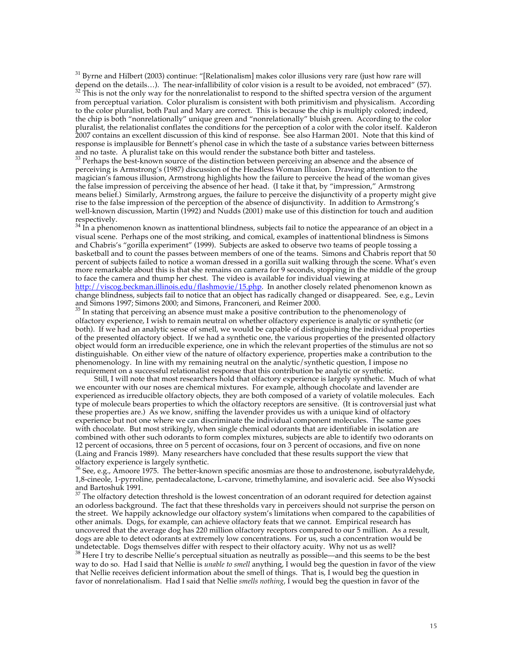<sup>31</sup> Byrne and Hilbert (2003) continue: "[Relationalism] makes color illusions very rare (just how rare will

depend on the details...). The near-infallibility of color vision is a result to be avoided, not embraced" (57).  $32$  This is not the only way for the nonrelationalist to respond to the shifted spectra version of the argu from perceptual variation. Color pluralism is consistent with both primitivism and physicalism. According to the color pluralist, both Paul and Mary are correct. This is because the chip is multiply colored; indeed, the chip is both "nonrelationally" unique green and "nonrelationally" bluish green. According to the color pluralist, the relationalist conflates the conditions for the perception of a color with the color itself. Kalderon 2007 contains an excellent discussion of this kind of response. See also Harman 2001. Note that this kind of response is implausible for Bennett's phenol case in which the taste of a substance varies between bitterness and no taste. A pluralist take on this would render the substance both bitter and tasteless.  $33$  Perhaps the best-known source of the distinction between perceiving an absence and the absence of

perceiving is Armstrong's (1987) discussion of the Headless Woman Illusion. Drawing attention to the magician's famous illusion, Armstrong highlights how the failure to perceive the head of the woman gives the false impression of perceiving the absence of her head. (I take it that, by "impression," Armstrong means belief.) Similarly, Armstrong argues, the failure to perceive the disjunctivity of a property might give rise to the false impression of the perception of the absence of disjunctivity. In addition to Armstrong's well-known discussion, Martin (1992) and Nudds (2001) make use of this distinction for touch and audition respectively.<br><sup>34</sup> In a phenomenon known as inattentional blindness, subjects fail to notice the appearance of an object in a

visual scene. Perhaps one of the most striking, and comical, examples of inattentional blindness is Simons and Chabris's "gorilla experiment" (1999). Subjects are asked to observe two teams of people tossing a basketball and to count the passes between members of one of the teams. Simons and Chabris report that 50 percent of subjects failed to notice a woman dressed in a gorilla suit walking through the scene. What's even more remarkable about this is that she remains on camera for 9 seconds, stopping in the middle of the group to face the camera and thump her chest. The video is available for individual viewing at http://viscog.beckman.illinois.edu/flashmovie/15.php. In another closely related phenomenon known as change blindness, subjects fail to notice that an object has radically changed or disappeared. See, e.g., Levin

 $35$  In stating that perceiving an absence must make a positive contribution to the phenomenology of olfactory experience, I wish to remain neutral on whether olfactory experience is analytic or synthetic (or both). If we had an analytic sense of smell, we would be capable of distinguishing the individual properties of the presented olfactory object. If we had a synthetic one, the various properties of the presented olfactory object would form an irreducible experience, one in which the relevant properties of the stimulus are not so distinguishable. On either view of the nature of olfactory experience, properties make a contribution to the phenomenology. In line with my remaining neutral on the analytic/synthetic question, I impose no requirement on a successful relationalist response that this contribution be analytic or synthetic.

Still, I will note that most researchers hold that olfactory experience is largely synthetic. Much of what we encounter with our noses are chemical mixtures. For example, although chocolate and lavender are experienced as irreducible olfactory objects, they are both composed of a variety of volatile molecules. Each type of molecule bears properties to which the olfactory receptors are sensitive. (It is controversial just what these properties are.) As we know, sniffing the lavender provides us with a unique kind of olfactory experience but not one where we can discriminate the individual component molecules. The same goes with chocolate. But most strikingly, when single chemical odorants that are identifiable in isolation are combined with other such odorants to form complex mixtures, subjects are able to identify two odorants on 12 percent of occasions, three on 5 percent of occasions, four on 3 percent of occasions, and five on none (Laing and Francis 1989). Many researchers have concluded that these results support the view that olfactory experience is largely synthetic.

 $36$  See, e.g., Amoore 1975. The better-known specific anosmias are those to androstenone, isobutyraldehyde, 1,8-cineole, 1-pyrroline, pentadecalactone, L-carvone, trimethylamine, and isovaleric acid. See also Wysocki and Bartoshuk 1991.

The olfactory detection threshold is the lowest concentration of an odorant required for detection against an odorless background. The fact that these thresholds vary in perceivers should not surprise the person on the street. We happily acknowledge our olfactory system's limitations when compared to the capabilities of other animals. Dogs, for example, can achieve olfactory feats that we cannot. Empirical research has uncovered that the average dog has 220 million olfactory receptors compared to our 5 million. As a result, dogs are able to detect odorants at extremely low concentrations. For us, such a concentration would be undetectable. Dogs themselves differ with respect to their olfactory acuity. Why not us as well?

<sup>38</sup> Here I try to describe Nellie's perceptual situation as neutrally as possible—and this seems to be the best way to do so. Had I said that Nellie is *unable to smell* anything, I would beg the question in favor of the view that Nellie receives deficient information about the smell of things. That is, I would beg the question in favor of nonrelationalism. Had I said that Nellie *smells nothing*, I would beg the question in favor of the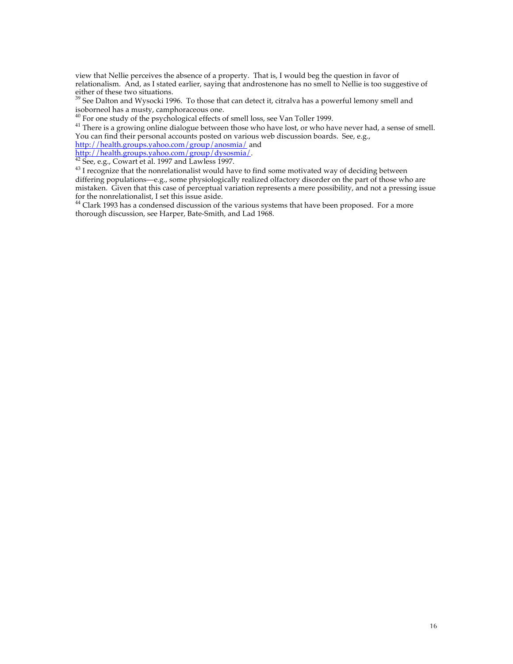view that Nellie perceives the absence of a property. That is, I would beg the question in favor of relationalism. And, as I stated earlier, saying that androstenone has no smell to Nellie is too suggestive of either of these two situations.

<sup>39</sup> See Dalton and Wysocki 1996. To those that can detect it, citralva has a powerful lemony smell and isoborneol has a musty, camphoraceous one.

<sup>40</sup> For one study of the psychological effects of smell loss, see Van Toller 1999.

<sup>41</sup> There is a growing online dialogue between those who have lost, or who have never had, a sense of smell. You can find their personal accounts posted on various web discussion boards. See, e.g.,

http://health.groups.yahoo.com/group/anosmia/ and

<u>http://health.groups.yahoo.com/group/dysosmia/</u>.<br><sup>42</sup> See, e.g., Cowart et al. 1997 and Lawless 1997.

<sup>43</sup> I recognize that the nonrelationalist would have to find some motivated way of deciding between differing populations—e.g., some physiologically realized olfactory disorder on the part of those who are mistaken. Given that this case of perceptual variation represents a mere possibility, and not a pressing issue for the nonrelationalist, I set this issue aside.

<sup>44</sup> Clark 1993 has a condensed discussion of the various systems that have been proposed. For a more thorough discussion, see Harper, Bate-Smith, and Lad 1968.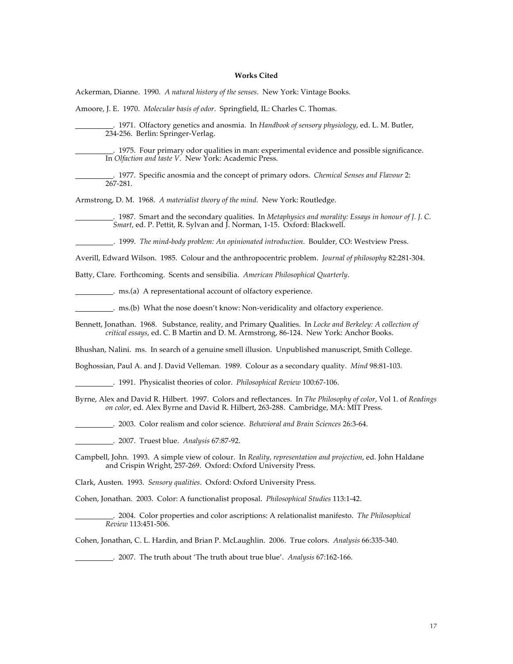### **Works Cited**

Ackerman, Dianne. 1990. *A natural history of the senses*. New York: Vintage Books.

Amoore, J. E. 1970. *Molecular basis of odor*. Springfield, IL: Charles C. Thomas.

. 1971. Olfactory genetics and anosmia. In *Handbook of sensory physiology*, ed. L. M. Butler, 234-256. Berlin: Springer-Verlag.

. 1975. Four primary odor qualities in man: experimental evidence and possible significance. In *Olfaction and taste V*. New York: Academic Press.

. 1977. Specific anosmia and the concept of primary odors. *Chemical Senses and Flavour* 2: 267-281.

Armstrong, D. M. 1968. *A materialist theory of the mind*. New York: Routledge.

. 1987. Smart and the secondary qualities. In *Metaphysics and morality: Essays in honour of J. J. C. Smart*, ed. P. Pettit, R. Sylvan and J. Norman, 1-15. Oxford: Blackwell.

. 1999. *The mind-body problem: An opinionated introduction*. Boulder, CO: Westview Press.

Averill, Edward Wilson. 1985. Colour and the anthropocentric problem. *Journal of philosophy* 82:281-304.

Batty, Clare. Forthcoming. Scents and sensibilia. *American Philosophical Quarterly*.

. ms.(a) A representational account of olfactory experience.

... ms.(b) What the nose doesn't know: Non-veridicality and olfactory experience.

Bennett, Jonathan. 1968. Substance, reality, and Primary Qualities. In *Locke and Berkeley: A collection of critical essays*, ed. C. B Martin and D. M. Armstrong, 86-124. New York: Anchor Books.

Bhushan, Nalini. ms. In search of a genuine smell illusion. Unpublished manuscript, Smith College.

Boghossian, Paul A. and J. David Velleman. 1989. Colour as a secondary quality. *Mind* 98:81-103.

. 1991. Physicalist theories of color. *Philosophical Review* 100:67-106.

Byrne, Alex and David R. Hilbert. 1997. Colors and reflectances. In *The Philosophy of color*, Vol 1. of *Readings on color*, ed. Alex Byrne and David R. Hilbert, 263-288. Cambridge, MA: MIT Press.

. 2003. Color realism and color science. *Behavioral and Brain Sciences* 26:3-64.

. 2007. Truest blue. *Analysis* 67:87-92.

Campbell, John. 1993. A simple view of colour. In *Reality, representation and projection*, ed. John Haldane and Crispin Wright, 257-269. Oxford: Oxford University Press.

Clark, Austen. 1993. *Sensory qualities*. Oxford: Oxford University Press.

Cohen, Jonathan. 2003. Color: A functionalist proposal. *Philosophical Studies* 113:1-42.

. 2004. Color properties and color ascriptions: A relationalist manifesto. *The Philosophical Review* 113:451-506.

Cohen, Jonathan, C. L. Hardin, and Brian P. McLaughlin. 2006. True colors. *Analysis* 66:335-340.

. 2007. The truth about 'The truth about true blue'. *Analysis* 67:162-166.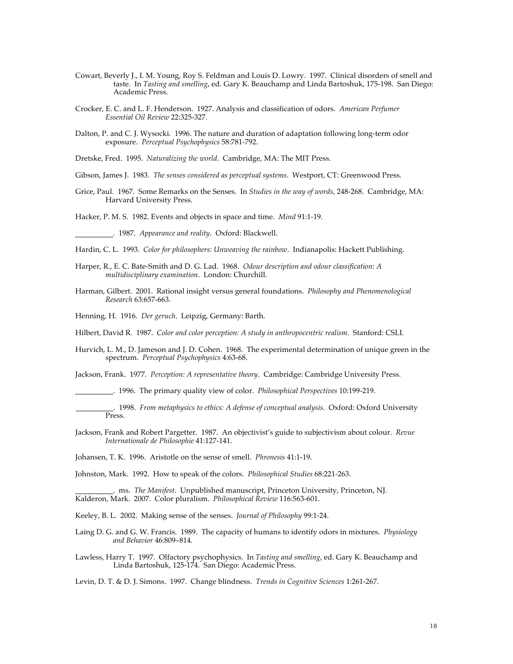- Cowart, Beverly J., I. M. Young, Roy S. Feldman and Louis D. Lowry. 1997. Clinical disorders of smell and taste. In *Tasting and smelling*, ed. Gary K. Beauchamp and Linda Bartoshuk, 175-198. San Diego: Academic Press.
- Crocker, E. C. and L. F. Henderson. 1927. Analysis and classification of odors. *American Perfumer Essential Oil Review* 22:325-327.
- Dalton, P. and C. J. Wysocki. 1996. The nature and duration of adaptation following long-term odor exposure. *Perceptual Psychophysics* 58:781-792.
- Dretske, Fred. 1995. *Naturalizing the world*. Cambridge, MA: The MIT Press.
- Gibson, James J. 1983. *The senses considered as perceptual systems*. Westport, CT: Greenwood Press.
- Grice, Paul. 1967. Some Remarks on the Senses. In *Studies in the way of words*, 248-268. Cambridge, MA: Harvard University Press.
- Hacker, P. M. S. 1982. Events and objects in space and time. *Mind* 91:1-19.

. 1987. *Appearance and reality*. Oxford: Blackwell.

Hardin, C. L. 1993. *Color for philosophers: Unweaving the rainbow*. Indianapolis: Hackett Publishing.

- Harper, R., E. C. Bate-Smith and D. G. Lad. 1968. *Odour description and odour classification*: *A multidisciplinary examination*. London: Churchill.
- Harman, Gilbert. 2001. Rational insight versus general foundations. *Philosophy and Phenomenological Research* 63:657-663.
- Henning, H. 1916. *Der geruch*. Leipzig, Germany: Barth.
- Hilbert, David R. 1987. *Color and color perception: A study in anthropocentric realism*. Stanford: CSLI.
- Hurvich, L. M., D. Jameson and J. D. Cohen. 1968. The experimental determination of unique green in the spectrum. *Perceptual Psychophysics* 4:63-68.

Jackson, Frank. 1977. *Perception: A representative theory*. Cambridge: Cambridge University Press.

- . 1996. The primary quality view of color. *Philosophical Perspectives* 10:199-219.
- . 1998. *From metaphysics to ethics: A defense of conceptual analysis*. Oxford: Oxford University Press.
- Jackson, Frank and Robert Pargetter. 1987. An objectivist's guide to subjectivism about colour. *Revue Internationale de Philosophie* 41:127-141.
- Johansen, T. K. 1996. Aristotle on the sense of smell. *Phronesis* 41:1-19.

Johnston, Mark. 1992. How to speak of the colors. *Philosophical Studies* 68:221-263.

. ms. *The Manifest*. Unpublished manuscript, Princeton University, Princeton, NJ. Kalderon, Mark. 2007. Color pluralism. *Philosophical Review* 116:563-601.

Keeley, B. L. 2002. Making sense of the senses. *Journal of Philosophy* 99:1-24.

- Laing D. G. and G. W. Francis. 1989. The capacity of humans to identify odors in mixtures. *Physiology and Behavior* 46:809–814.
- Lawless, Harry T. 1997. Olfactory psychophysics. In *Tasting and smelling*, ed. Gary K. Beauchamp and Linda Bartoshuk, 125-174. San Diego: Academic Press.

Levin, D. T. & D. J. Simons. 1997. Change blindness. *Trends in Cognitive Sciences* 1:261-267.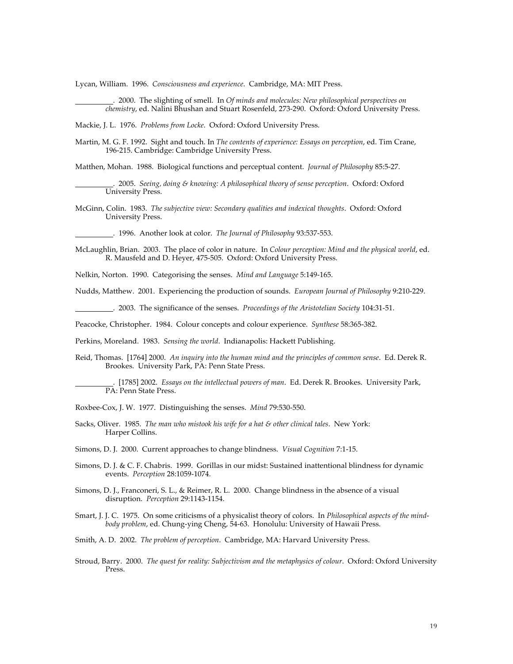Lycan, William. 1996. *Consciousness and experience*. Cambridge, MA: MIT Press.

. 2000. The slighting of smell. In *Of minds and molecules: New philosophical perspectives on chemistry*, ed. Nalini Bhushan and Stuart Rosenfeld, 273-290. Oxford: Oxford University Press.

Mackie, J. L. 1976. *Problems from Locke*. Oxford: Oxford University Press.

Martin, M. G. F. 1992. Sight and touch. In *The contents of experience: Essays on perception*, ed. Tim Crane, 196-215. Cambridge: Cambridge University Press.

Matthen, Mohan. 1988. Biological functions and perceptual content. *Journal of Philosophy* 85:5-27.

.2005. *Seeing, doing & knowing: A philosophical theory of sense perception*. Oxford: Oxford University Press.

McGinn, Colin. 1983. *The subjective view: Secondary qualities and indexical thoughts*. Oxford: Oxford University Press.

. 1996. Another look at color. *The Journal of Philosophy* 93:537-553.

McLaughlin, Brian. 2003. The place of color in nature. In *Colour perception: Mind and the physical world*, ed. R. Mausfeld and D. Heyer, 475-505. Oxford: Oxford University Press.

Nelkin, Norton. 1990. Categorising the senses. *Mind and Language* 5:149-165.

Nudds, Matthew. 2001. Experiencing the production of sounds. *European Journal of Philosophy* 9:210-229.

. 2003. The significance of the senses. *Proceedings of the Aristotelian Society* 104:31-51.

Peacocke, Christopher. 1984. Colour concepts and colour experience. *Synthese* 58:365-382.

Perkins, Moreland. 1983. *Sensing the world*. Indianapolis: Hackett Publishing.

Reid, Thomas. [1764] 2000. *An inquiry into the human mind and the principles of common sense*. Ed. Derek R. Brookes. University Park, PA: Penn State Press.

. [1785] 2002. *Essays on the intellectual powers of man*. Ed. Derek R. Brookes. University Park, PA: Penn State Press.

Roxbee-Cox, J. W. 1977. Distinguishing the senses. *Mind* 79:530-550.

- Sacks, Oliver. 1985. *The man who mistook his wife for a hat & other clinical tales*. New York: Harper Collins.
- Simons, D. J. 2000. Current approaches to change blindness. *Visual Cognition* 7:1-15.
- Simons, D. J. & C. F. Chabris. 1999. Gorillas in our midst: Sustained inattentional blindness for dynamic events. *Perception* 28:1059-1074.
- Simons, D. J., Franconeri, S. L., & Reimer, R. L. 2000. Change blindness in the absence of a visual disruption. *Perception* 29:1143-1154.
- Smart, J. J. C. 1975. On some criticisms of a physicalist theory of colors. In *Philosophical aspects of the mindbody problem*, ed. Chung-ying Cheng, 54-63. Honolulu: University of Hawaii Press.
- Smith, A. D. 2002. *The problem of perception*. Cambridge, MA: Harvard University Press.
- Stroud, Barry. 2000. *The quest for reality: Subjectivism and the metaphysics of colour*. Oxford: Oxford University Press.